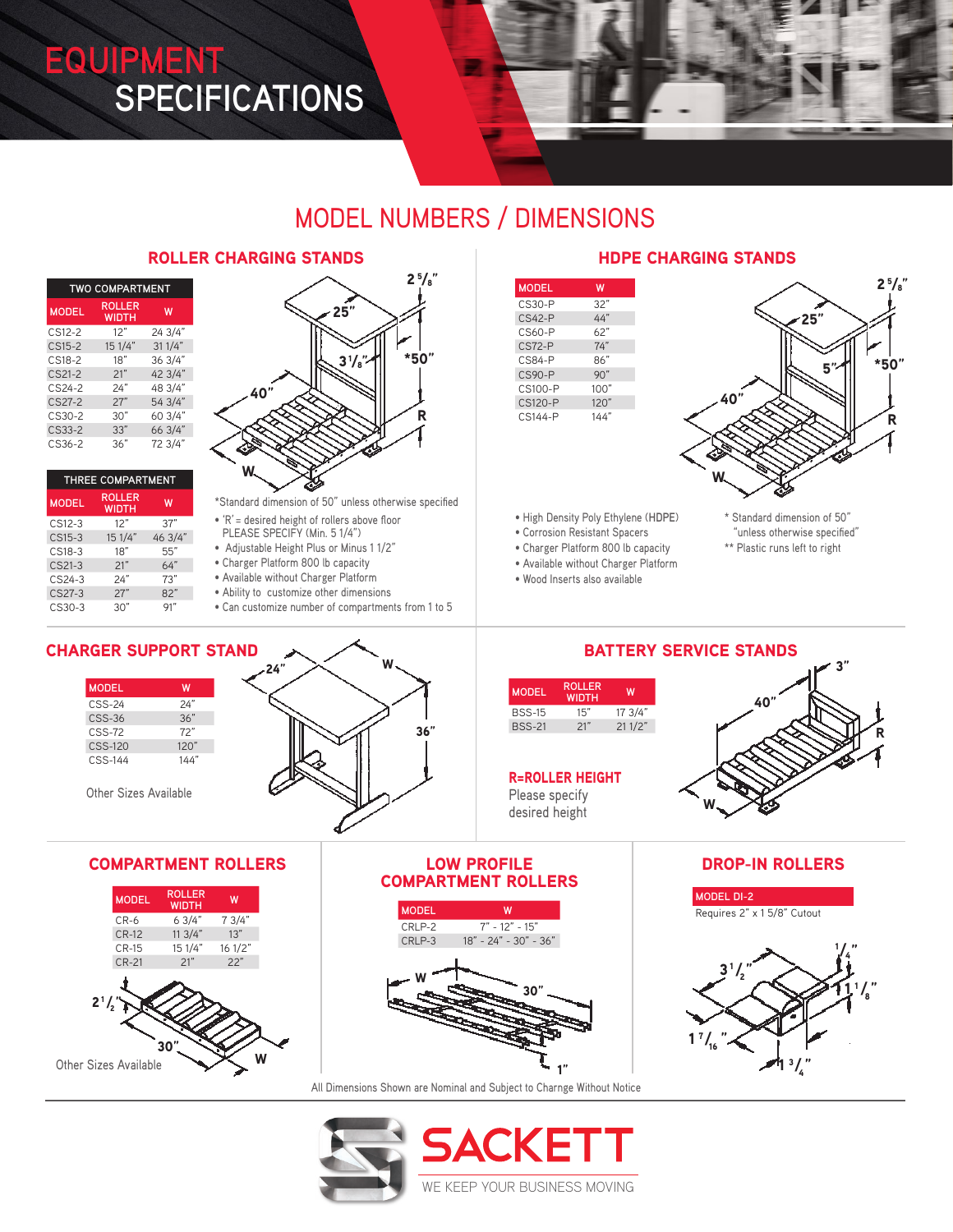# **EQUIPMENT SPECIFICATIONS**



# MODEL NUMBERS / DIMENSIONS

### ROLLER CHARGING STANDS **HDPE CHARGING STANDS**

| <b>TWO COMPARTMENT</b> |                        |         |  |
|------------------------|------------------------|---------|--|
| <b>MODEL</b>           | <b>ROLLER</b><br>WIDTH | W       |  |
| CS12-2                 | 12"                    | 24 3/4" |  |
| $CS15-2$               | 15 1/4"                | 311/4"  |  |
| $CS18-2$               | 18"                    | 36 3/4" |  |
| CS21-2                 | 21"                    | 42 3/4" |  |
| CS24-2                 | 24"                    | 48 3/4" |  |
| $CS27-2$               | 27"                    | 54 3/4" |  |
| $CS30-2$               | 30"                    | 60 3/4" |  |
| CS33-2                 | 33"                    | 66 3/4" |  |
| CS36-2                 | 36"                    | 72 3/4" |  |

| THREE COMPARTMENT |                               |         |
|-------------------|-------------------------------|---------|
| <b>MODEL</b>      | <b>ROLLER</b><br><b>WIDTH</b> | W       |
| CS12-3            | 12"                           | 37"     |
| CS15-3            | 15 1/4"                       | 46 3/4" |
| CS18-3            | 18"                           | 55"     |
| CS21-3            | 21"                           | 64"     |
| $CS24-3$          | 24"                           | 73''    |
| CS27-3            | 27"                           | 82"     |
| CS30-3            | 30"                           |         |



\*Standard dimension of 50" unless otherwise specified

- 'R' = desired height of rollers above floor
- PLEASE SPECIFY (Min. 5 1/4") • Adjustable Height Plus or Minus 1 1/2"
- Charger Platform 800 lb capacity
- Available without Charger Platform
- Ability to customize other dimensions
- Can customize number of compartments from 1 to 5

| <b>MODEL</b> | w    |
|--------------|------|
| $CS30-P$     | 32"  |
| $CS42-P$     | 44"  |
| CS60-P       | 62"  |
| $CS72-P$     | 74"  |
| $CS84-P$     | 86"  |
| $C.S90-P$    | 90"  |
| CS100-P      | 100" |
| CS120-P      | 120" |
| $CS144-P$    | 144″ |
|              |      |



• High Density Poly Ethylene (**HDPE**)

- Corrosion Resistant Spacers
- Charger Platform 800 lb capacity
- Available without Charger Platform
- Wood Inserts also available
- \* Standard dimension of 50" "unless otherwise specified"
- \*\* Plastic runs left to right

# **MODEL W** CSS-24 24" CSS-36 36" CSS-72 72"



# BATTERY SERVICE STANDS

| <b>MODEL</b>  | <b>ROLLER</b><br><b>WIDTH</b> | w       |
|---------------|-------------------------------|---------|
| <b>BSS-15</b> | 15"                           | 17.3/4" |
| <b>BSS-21</b> | 21"                           | 211/2"  |

### R=ROLLER HEIGHT

Please specify desired height

30"

18" - 24" - 30" - 36"

1"



### COMPARTMENT ROLLERS DROP-IN ROLLERS **MODEL DI-2**



All Dimensions Shown are Nominal and Subject to Charnge Without Notice

CRLP-2 7" - 12" - 15"

W

**MODEL** 



# CHARGER SUPPORT STAND

| <b>MODEL</b>   | w    |
|----------------|------|
| $CSS-24$       | 24"  |
| $CSS-36$       | 36"  |
| $CSS-72$       | 72"  |
| <b>CSS-120</b> | 120" |
| $CSS-144$      | 144" |

Other Sizes Available



### COMPARTMENT ROLLERS LOW PROFILE

| <b>MODEL</b> | <b>ROLLER</b><br><b>WIDTH</b> | W       |
|--------------|-------------------------------|---------|
| $CR-6$       | 63/4"                         | 7 3/4"  |
| <b>CR-12</b> | 113/4"                        | 13"     |
| $CR-15$      | 15 1/4"                       | 16 1/2" |
| <b>CR-21</b> | 21"                           | 22"     |
| $2^{1}/_{2}$ |                               |         |

W

30"